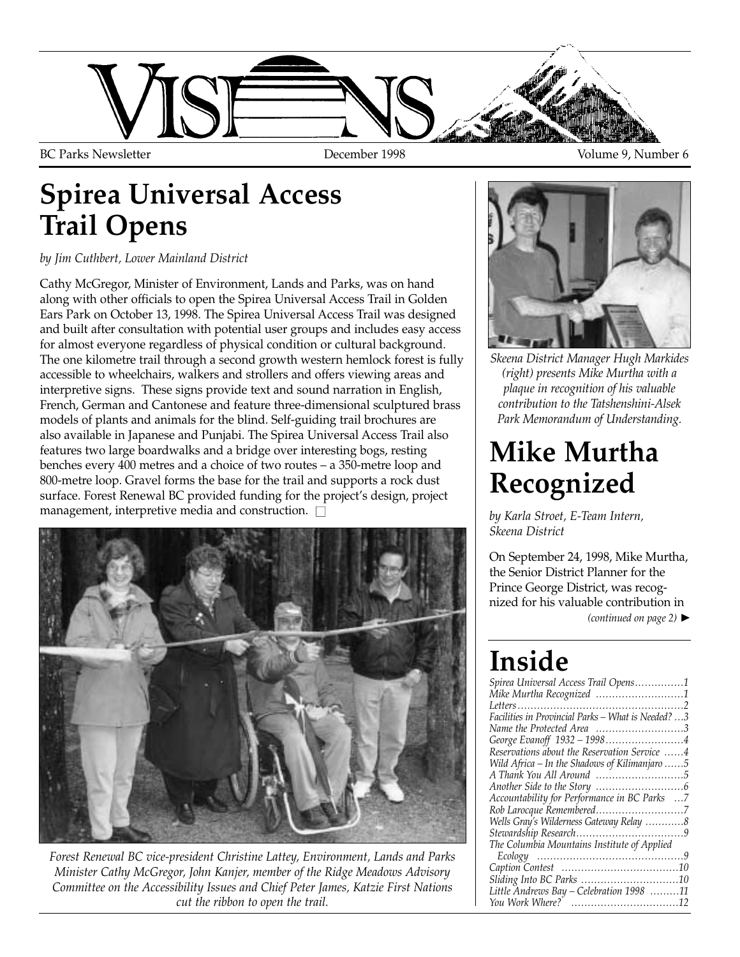

### **Spirea Universal Access Trail Opens**

*by Jim Cuthbert, Lower Mainland District*

Cathy McGregor, Minister of Environment, Lands and Parks, was on hand along with other officials to open the Spirea Universal Access Trail in Golden Ears Park on October 13, 1998. The Spirea Universal Access Trail was designed and built after consultation with potential user groups and includes easy access for almost everyone regardless of physical condition or cultural background. The one kilometre trail through a second growth western hemlock forest is fully accessible to wheelchairs, walkers and strollers and offers viewing areas and interpretive signs. These signs provide text and sound narration in English, French, German and Cantonese and feature three-dimensional sculptured brass models of plants and animals for the blind. Self-guiding trail brochures are also available in Japanese and Punjabi. The Spirea Universal Access Trail also features two large boardwalks and a bridge over interesting bogs, resting benches every 400 metres and a choice of two routes – a 350-metre loop and 800-metre loop. Gravel forms the base for the trail and supports a rock dust surface. Forest Renewal BC provided funding for the project's design, project management, interpretive media and construction.  $\square$ 



*Forest Renewal BC vice-president Christine Lattey, Environment, Lands and Parks Minister Cathy McGregor, John Kanjer, member of the Ridge Meadows Advisory Committee on the Accessibility Issues and Chief Peter James, Katzie First Nations cut the ribbon to open the trail.*



*Skeena District Manager Hugh Markides (right) presents Mike Murtha with a plaque in recognition of his valuable contribution to the Tatshenshini-Alsek Park Memorandum of Understanding.*

### **Mike Murtha Recognized**

*by Karla Stroet, E-Team Intern, Skeena District* 

On September 24, 1998, Mike Murtha, the Senior District Planner for the Prince George District, was recognized for his valuable contribution in

*(continued on page 2)* ▲

## **Inside**

| Spirea Universal Access Trail Opens1               |
|----------------------------------------------------|
| Mike Murtha Recognized 1                           |
|                                                    |
| Facilities in Provincial Parks - What is Needed? 3 |
| Name the Protected Area 3                          |
| George Evanoff 1932 - 19984                        |
| Reservations about the Reservation Service 4       |
| Wild Africa – In the Shadows of Kilimanjaro $5$    |
| A Thank You All Around 5                           |
|                                                    |
| Accountability for Performance in BC Parks 7       |
| Rob Larocque Remembered7                           |
| Wells Gray's Wilderness Gateway Relay 8            |
|                                                    |
| The Columbia Mountains Institute of Applied        |
|                                                    |
|                                                    |
|                                                    |
| Little Andrews Bay - Celebration 1998 11           |
|                                                    |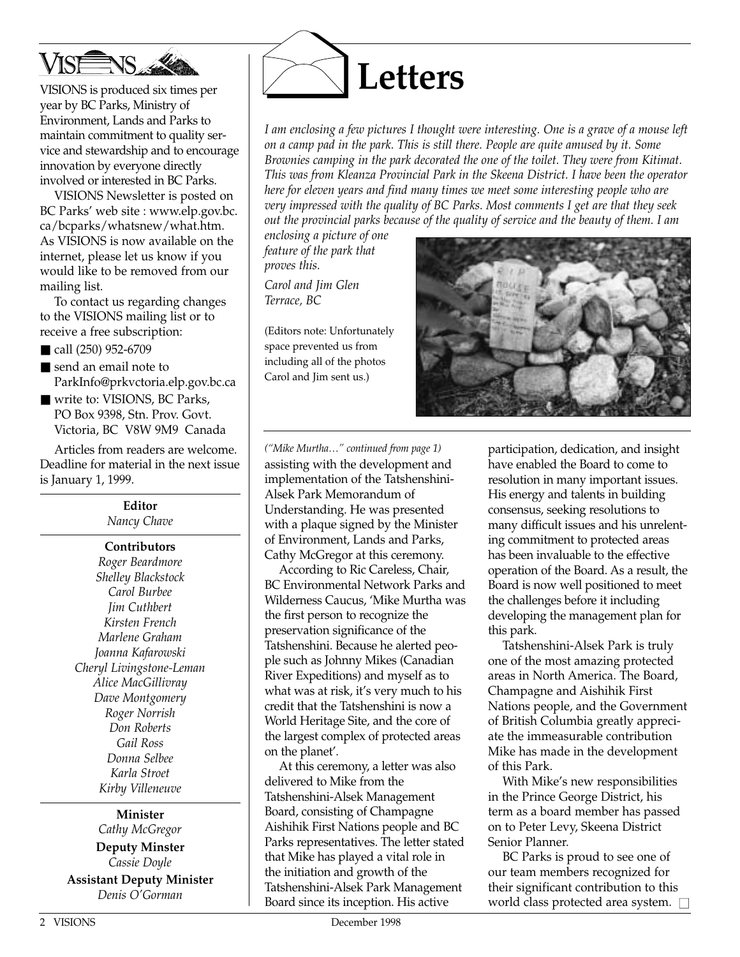

VISIONS is produced six times per year by BC Parks, Ministry of Environment, Lands and Parks to maintain commitment to quality service and stewardship and to encourage innovation by everyone directly involved or interested in BC Parks.

VISIONS Newsletter is posted on BC Parks' web site : www.elp.gov.bc. ca/bcparks/whatsnew/what.htm. As VISIONS is now available on the internet, please let us know if you would like to be removed from our mailing list.

To contact us regarding changes to the VISIONS mailing list or to receive a free subscription:

- call (250) 952-6709
- send an email note to ParkInfo@prkvctoria.elp.gov.bc.ca
- write to: VISIONS, BC Parks, PO Box 9398, Stn. Prov. Govt. Victoria, BC V8W 9M9 Canada

Articles from readers are welcome. Deadline for material in the next issue is January 1, 1999.

> **Editor** *Nancy Chave*

### **Contributors**

*Roger Beardmore Shelley Blackstock Carol Burbee Jim Cuthbert Kirsten French Marlene Graham Joanna Kafarowski Cheryl Livingstone-Leman Alice MacGillivray Dave Montgomery Roger Norrish Don Roberts Gail Ross Donna Selbee Karla Stroet Kirby Villeneuve*

### **Minister**

*Cathy McGregor* **Deputy Minster** *Cassie Doyle* **Assistant Deputy Minister** *Denis O'Gorman*



*I am enclosing a few pictures I thought were interesting. One is a grave of a mouse left on a camp pad in the park. This is still there. People are quite amused by it. Some Brownies camping in the park decorated the one of the toilet. They were from Kitimat. This was from Kleanza Provincial Park in the Skeena District. I have been the operator here for eleven years and find many times we meet some interesting people who are very impressed with the quality of BC Parks. Most comments I get are that they seek out the provincial parks because of the quality of service and the beauty of them. I am*

*enclosing a picture of one feature of the park that proves this.*

*Carol and Jim Glen Terrace, BC*

(Editors note: Unfortunately space prevented us from including all of the photos Carol and Jim sent us.)



*("Mike Murtha…" continued from page 1)* assisting with the development and implementation of the Tatshenshini-Alsek Park Memorandum of Understanding. He was presented with a plaque signed by the Minister of Environment, Lands and Parks, Cathy McGregor at this ceremony.

According to Ric Careless, Chair, BC Environmental Network Parks and Wilderness Caucus, 'Mike Murtha was the first person to recognize the preservation significance of the Tatshenshini. Because he alerted people such as Johnny Mikes (Canadian River Expeditions) and myself as to what was at risk, it's very much to his credit that the Tatshenshini is now a World Heritage Site, and the core of the largest complex of protected areas on the planet'.

At this ceremony, a letter was also delivered to Mike from the Tatshenshini-Alsek Management Board, consisting of Champagne Aishihik First Nations people and BC Parks representatives. The letter stated that Mike has played a vital role in the initiation and growth of the Tatshenshini-Alsek Park Management Board since its inception. His active

participation, dedication, and insight have enabled the Board to come to resolution in many important issues. His energy and talents in building consensus, seeking resolutions to many difficult issues and his unrelenting commitment to protected areas has been invaluable to the effective operation of the Board. As a result, the Board is now well positioned to meet the challenges before it including developing the management plan for this park.

Tatshenshini-Alsek Park is truly one of the most amazing protected areas in North America. The Board, Champagne and Aishihik First Nations people, and the Government of British Columbia greatly appreciate the immeasurable contribution Mike has made in the development of this Park.

With Mike's new responsibilities in the Prince George District, his term as a board member has passed on to Peter Levy, Skeena District Senior Planner.

BC Parks is proud to see one of our team members recognized for their significant contribution to this world class protected area system.  $\square$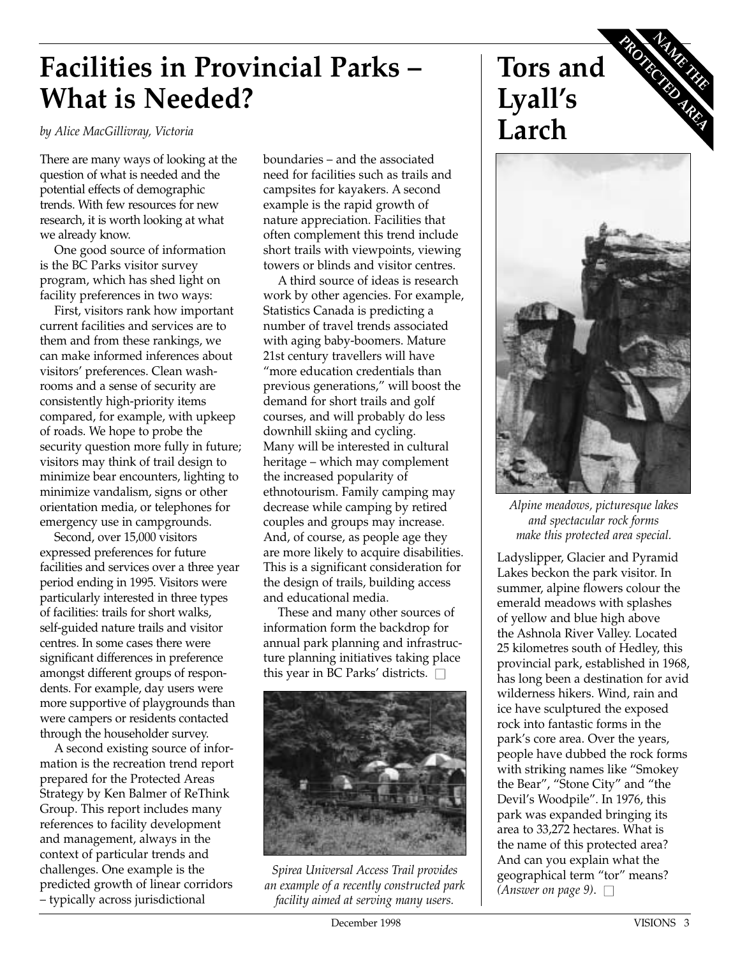### **Facilities in Provincial Parks – What is Needed?**

*by Alice MacGillivray, Victoria*

There are many ways of looking at the question of what is needed and the potential effects of demographic trends. With few resources for new research, it is worth looking at what we already know.

One good source of information is the BC Parks visitor survey program, which has shed light on facility preferences in two ways:

First, visitors rank how important current facilities and services are to them and from these rankings, we can make informed inferences about visitors' preferences. Clean washrooms and a sense of security are consistently high-priority items compared, for example, with upkeep of roads. We hope to probe the security question more fully in future; visitors may think of trail design to minimize bear encounters, lighting to minimize vandalism, signs or other orientation media, or telephones for emergency use in campgrounds.

Second, over 15,000 visitors expressed preferences for future facilities and services over a three year period ending in 1995. Visitors were particularly interested in three types of facilities: trails for short walks, self-guided nature trails and visitor centres. In some cases there were significant differences in preference amongst different groups of respondents. For example, day users were more supportive of playgrounds than were campers or residents contacted through the householder survey.

A second existing source of information is the recreation trend report prepared for the Protected Areas Strategy by Ken Balmer of ReThink Group. This report includes many references to facility development and management, always in the context of particular trends and challenges. One example is the predicted growth of linear corridors – typically across jurisdictional

boundaries – and the associated need for facilities such as trails and campsites for kayakers. A second example is the rapid growth of nature appreciation. Facilities that often complement this trend include short trails with viewpoints, viewing towers or blinds and visitor centres.

A third source of ideas is research work by other agencies. For example, Statistics Canada is predicting a number of travel trends associated with aging baby-boomers. Mature 21st century travellers will have "more education credentials than previous generations," will boost the demand for short trails and golf courses, and will probably do less downhill skiing and cycling. Many will be interested in cultural heritage – which may complement the increased popularity of ethnotourism. Family camping may decrease while camping by retired couples and groups may increase. And, of course, as people age they are more likely to acquire disabilities. This is a significant consideration for the design of trails, building access and educational media.

These and many other sources of information form the backdrop for annual park planning and infrastructure planning initiatives taking place this year in BC Parks' districts.  $\square$ 



*Spirea Universal Access Trail provides an example of a recently constructed park facility aimed at serving many users.*





*Alpine meadows, picturesque lakes and spectacular rock forms make this protected area special.*

Ladyslipper, Glacier and Pyramid Lakes beckon the park visitor. In summer, alpine flowers colour the emerald meadows with splashes of yellow and blue high above the Ashnola River Valley. Located 25 kilometres south of Hedley, this provincial park, established in 1968, has long been a destination for avid wilderness hikers. Wind, rain and ice have sculptured the exposed rock into fantastic forms in the park's core area. Over the years, people have dubbed the rock forms with striking names like "Smokey the Bear", "Stone City" and "the Devil's Woodpile". In 1976, this park was expanded bringing its area to 33,272 hectares. What is the name of this protected area? And can you explain what the geographical term "tor" means?  $(Answer on page 9)$ .  $\Box$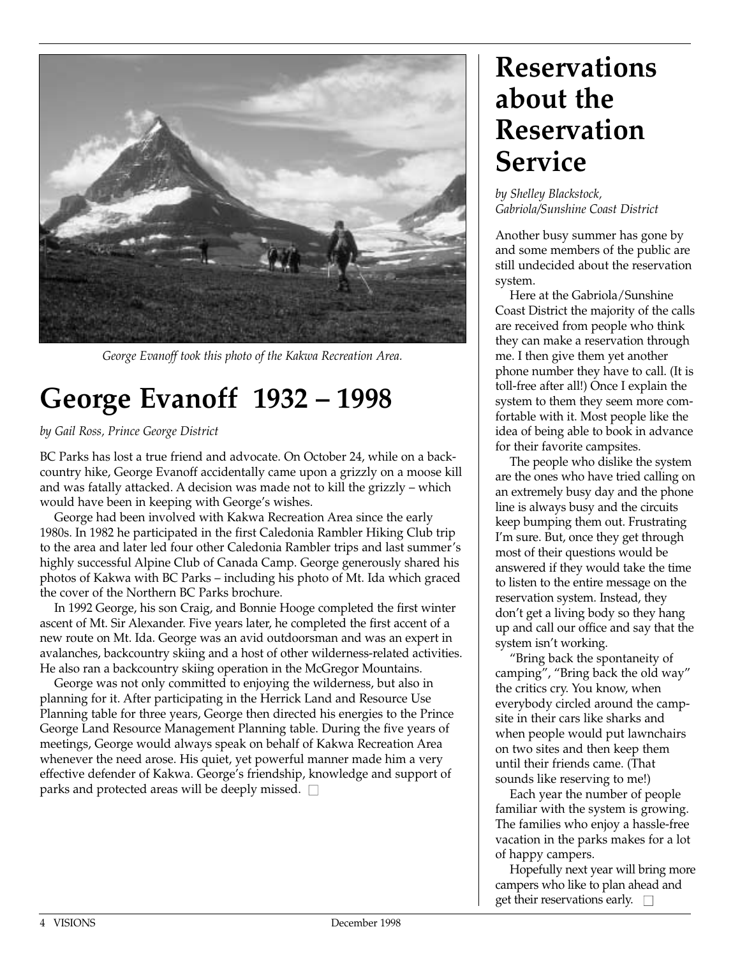

*George Evanoff took this photo of the Kakwa Recreation Area.*

### **George Evanoff 1932 – 1998**

*by Gail Ross, Prince George District*

BC Parks has lost a true friend and advocate. On October 24, while on a backcountry hike, George Evanoff accidentally came upon a grizzly on a moose kill and was fatally attacked. A decision was made not to kill the grizzly – which would have been in keeping with George's wishes.

George had been involved with Kakwa Recreation Area since the early 1980s. In 1982 he participated in the first Caledonia Rambler Hiking Club trip to the area and later led four other Caledonia Rambler trips and last summer's highly successful Alpine Club of Canada Camp. George generously shared his photos of Kakwa with BC Parks – including his photo of Mt. Ida which graced the cover of the Northern BC Parks brochure.

In 1992 George, his son Craig, and Bonnie Hooge completed the first winter ascent of Mt. Sir Alexander. Five years later, he completed the first accent of a new route on Mt. Ida. George was an avid outdoorsman and was an expert in avalanches, backcountry skiing and a host of other wilderness-related activities. He also ran a backcountry skiing operation in the McGregor Mountains.

George was not only committed to enjoying the wilderness, but also in planning for it. After participating in the Herrick Land and Resource Use Planning table for three years, George then directed his energies to the Prince George Land Resource Management Planning table. During the five years of meetings, George would always speak on behalf of Kakwa Recreation Area whenever the need arose. His quiet, yet powerful manner made him a very effective defender of Kakwa. George's friendship, knowledge and support of parks and protected areas will be deeply missed.  $\square$ 

### **Reservations about the Reservation Service**

*by Shelley Blackstock, Gabriola/Sunshine Coast District*

Another busy summer has gone by and some members of the public are still undecided about the reservation system.

Here at the Gabriola/Sunshine Coast District the majority of the calls are received from people who think they can make a reservation through me. I then give them yet another phone number they have to call. (It is toll-free after all!) Once I explain the system to them they seem more comfortable with it. Most people like the idea of being able to book in advance for their favorite campsites.

The people who dislike the system are the ones who have tried calling on an extremely busy day and the phone line is always busy and the circuits keep bumping them out. Frustrating I'm sure. But, once they get through most of their questions would be answered if they would take the time to listen to the entire message on the reservation system. Instead, they don't get a living body so they hang up and call our office and say that the system isn't working.

"Bring back the spontaneity of camping", "Bring back the old way" the critics cry. You know, when everybody circled around the campsite in their cars like sharks and when people would put lawnchairs on two sites and then keep them until their friends came. (That sounds like reserving to me!)

Each year the number of people familiar with the system is growing. The families who enjoy a hassle-free vacation in the parks makes for a lot of happy campers.

Hopefully next year will bring more campers who like to plan ahead and get their reservations early.  $\square$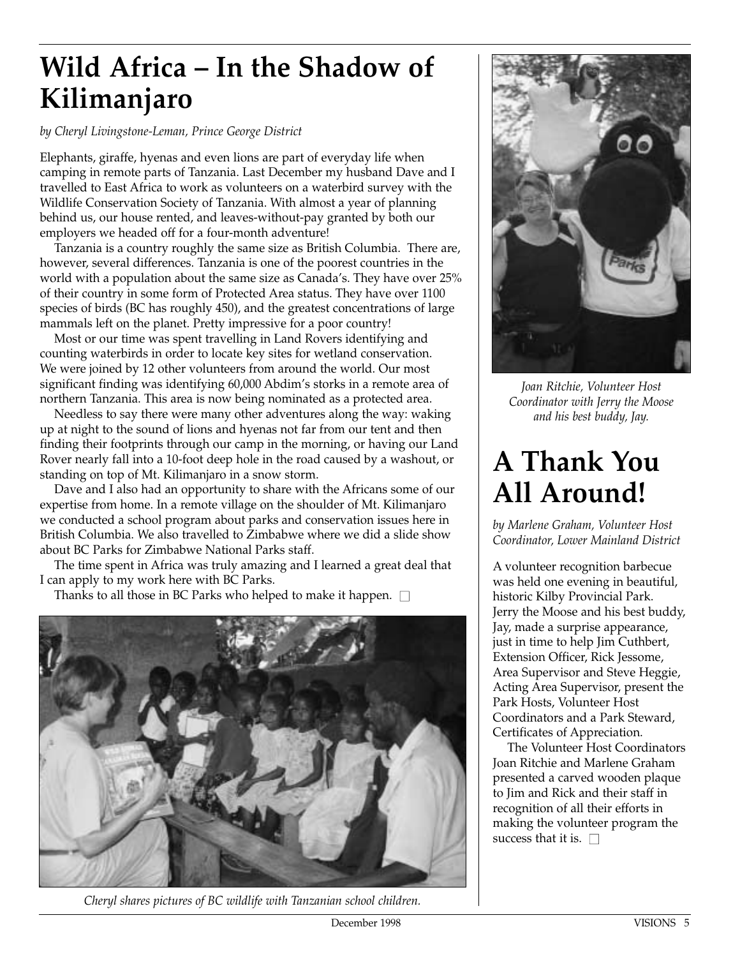### **Wild Africa – In the Shadow of Kilimanjaro**

*by Cheryl Livingstone-Leman, Prince George District*

Elephants, giraffe, hyenas and even lions are part of everyday life when camping in remote parts of Tanzania. Last December my husband Dave and I travelled to East Africa to work as volunteers on a waterbird survey with the Wildlife Conservation Society of Tanzania. With almost a year of planning behind us, our house rented, and leaves-without-pay granted by both our employers we headed off for a four-month adventure!

Tanzania is a country roughly the same size as British Columbia. There are, however, several differences. Tanzania is one of the poorest countries in the world with a population about the same size as Canada's. They have over 25% of their country in some form of Protected Area status. They have over 1100 species of birds (BC has roughly 450), and the greatest concentrations of large mammals left on the planet. Pretty impressive for a poor country!

Most or our time was spent travelling in Land Rovers identifying and counting waterbirds in order to locate key sites for wetland conservation. We were joined by 12 other volunteers from around the world. Our most significant finding was identifying 60,000 Abdim's storks in a remote area of northern Tanzania. This area is now being nominated as a protected area.

Needless to say there were many other adventures along the way: waking up at night to the sound of lions and hyenas not far from our tent and then finding their footprints through our camp in the morning, or having our Land Rover nearly fall into a 10-foot deep hole in the road caused by a washout, or standing on top of Mt. Kilimanjaro in a snow storm.

Dave and I also had an opportunity to share with the Africans some of our expertise from home. In a remote village on the shoulder of Mt. Kilimanjaro we conducted a school program about parks and conservation issues here in British Columbia. We also travelled to Zimbabwe where we did a slide show about BC Parks for Zimbabwe National Parks staff.

The time spent in Africa was truly amazing and I learned a great deal that I can apply to my work here with BC Parks.

Thanks to all those in BC Parks who helped to make it happen.  $\square$ 



*Cheryl shares pictures of BC wildlife with Tanzanian school children.*



*Joan Ritchie, Volunteer Host Coordinator with Jerry the Moose and his best buddy, Jay.*

### **A Thank You All Around!**

*by Marlene Graham, Volunteer Host Coordinator, Lower Mainland District*

A volunteer recognition barbecue was held one evening in beautiful, historic Kilby Provincial Park. Jerry the Moose and his best buddy, Jay, made a surprise appearance, just in time to help Jim Cuthbert, Extension Officer, Rick Jessome, Area Supervisor and Steve Heggie, Acting Area Supervisor, present the Park Hosts, Volunteer Host Coordinators and a Park Steward, Certificates of Appreciation.

The Volunteer Host Coordinators Joan Ritchie and Marlene Graham presented a carved wooden plaque to Jim and Rick and their staff in recognition of all their efforts in making the volunteer program the success that it is.  $\square$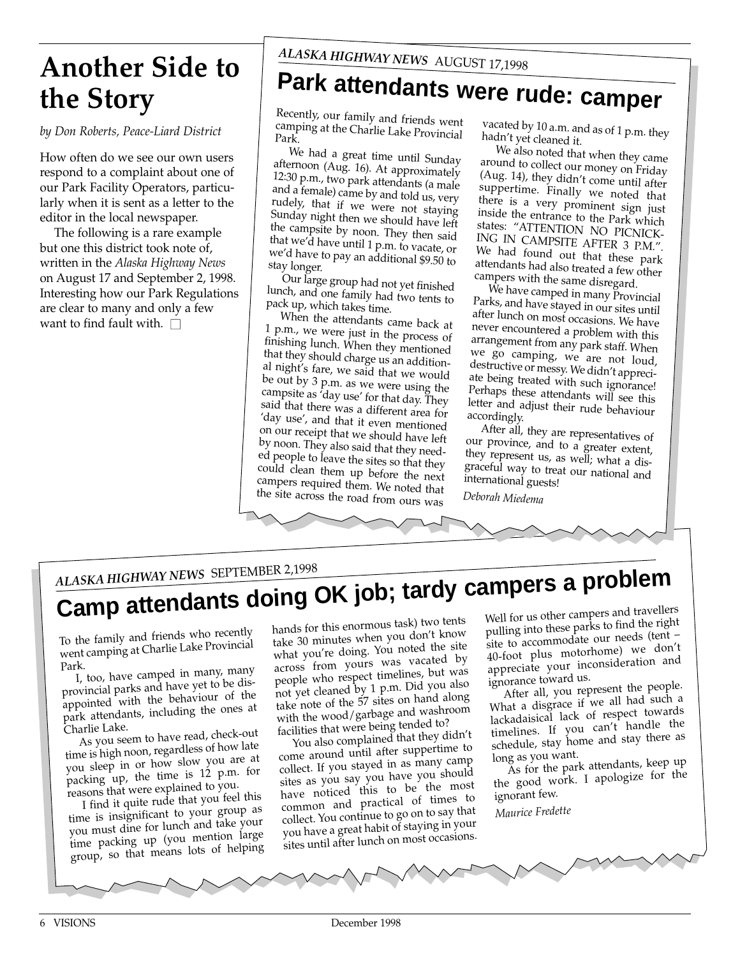### **Another Side to the Story**

*by Don Roberts, Peace-Liard District*

How often do we see our own users respond to a complaint about one of our Park Facility Operators, particularly when it is sent as a letter to the editor in the local newspaper.

The following is a rare example but one this district took note of, written in the *Alaska Highway News* on August 17 and September 2, 1998. Interesting how our Park Regulations are clear to many and only a few want to find fault with.  $\Box$ 

## **Park attendants were rude: camper**

Recently, our family and friends went camping at the Charlie Lake Provincial Park.

We had a great time until Sunday afternoon (Aug. 16). At approximately 12:30 p.m., two park attendants (a male and a female) came by and told us, very rudely, that if we were not staying Sunday night then we should have left the campsite by noon. They then said that we'd have until 1 p.m. to vacate, or we'd have to pay an additional \$9.50 to stay longer.

Our large group had not yet finished lunch, and one family had two tents to pack up, which takes time.

When the attendants came back at 1 p.m., we were just in the process of finishing lunch. When they mentioned that they should charge us an additional night's fare, we said that we would be out by 3 p.m. as we were using the campsite as 'day use' for that day. They said that there was a different area for 'day use', and that it even mentioned on our receipt that we should have left by noon. They also said that they needed people to leave the sites so that they could clean them up before the next campers required them. We noted that the site across the road from ours was

vacated by 10 a.m. and as of 1 p.m. they hadn't yet cleaned it.

We also noted that when they came around to collect our money on Friday (Aug. 14), they didn't come until after suppertime. Finally we noted that there is a very prominent sign just inside the entrance to the Park which states: "ATTENTION NO PICNICK-ING IN CAMPSITE AFTER 3 P.M.". We had found out that these park attendants had also treated a few other campers with the same disregard.

We have camped in many Provincial Parks, and have stayed in our sites until after lunch on most occasions. We have never encountered a problem with this arrangement from any park staff. When we go camping, we are not loud, destructive or messy. We didn't appreciate being treated with such ignorance! Perhaps these attendants will see this letter and adjust their rude behaviour accordingly.

After all, they are representatives of our province, and to  $a$  greater extent, they represent us, as well; what a disgraceful way to treat our national and international guests!

*Deborah Miedema*

### *ALASKA HIGHWAY NEWS* SEPTEMBER 2,1998

# **Camp attendants doing OK job; tardy campers a problem**

To the family and friends who recently went camping at Charlie Lake Provincial Park.

I, too, have camped in many, many provincial parks and have yet to be disappointed with the behaviour of the park attendants, including the ones at Charlie Lake.

As you seem to have read, check-out time is high noon, regardless of how late you sleep in or how slow you are a<sup>t</sup> packing up, the time is 12 p.m. for reasons that were explained to you.

I find it quite rude that you feel this time is insignificant to your group as you must dine for lunch and take your time packing up (you mention large group, so that means lots of helping

hands for this enormous task) two tents take 30 minutes when you don't know what you're doing. You noted the site across from yours was vacated by people who respect timelines, but was not yet cleaned by 1 p.m. Did you also take note of the 57 sites on hand along with the wood/garbage and washroom facilities that were being tended to?

You also complained that they didn't come around until after suppertime to collect. If you stayed in as many camp sites as you say you have you should have noticed this to be the most common and practical of times to collect. You continue to go on to say that you have a great habit of staying in your sites until after lunch on most occasions.

Well for us other campers and travellers pulling into these parks to find the right site to accommodate our needs (tent – 40-foot plus motorhome) we don't appreciate your inconsideration an<sup>d</sup> ignorance toward us.

After all, you represent the people. What a disgrace if we all had such a lackadaisical lack of respect towards timelines. If you can't handle the schedule, stay home and stay there as long as you want.

As for the park attendants, keep up the good work. I apologize for the ignorant few.

*Maurice Fredette*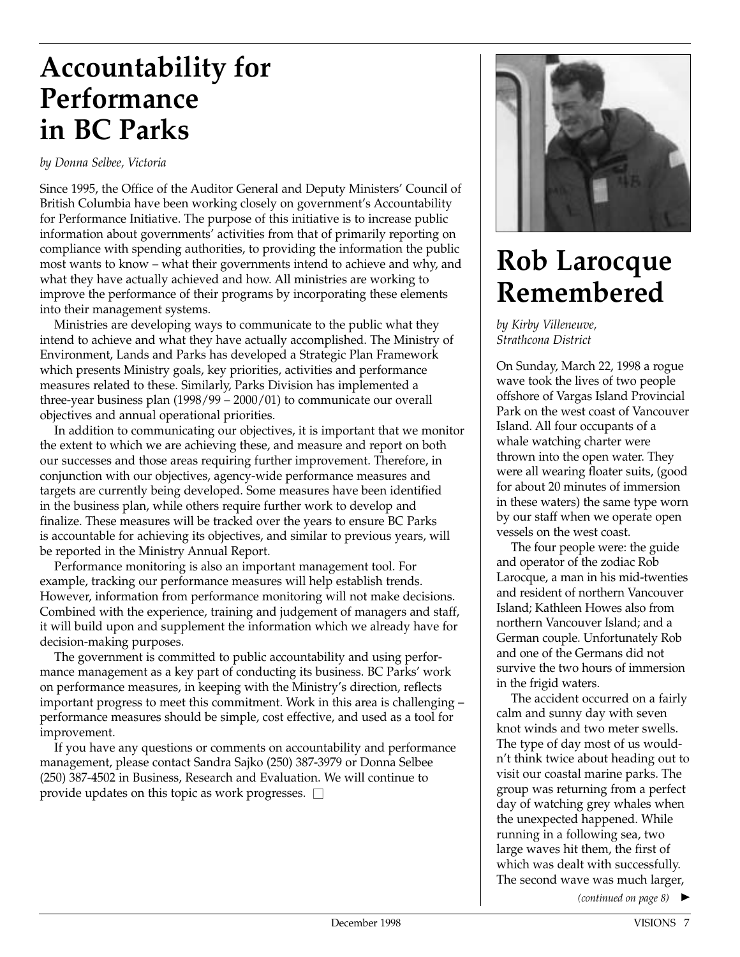### **Accountability for Performance in BC Parks**

### *by Donna Selbee, Victoria*

Since 1995, the Office of the Auditor General and Deputy Ministers' Council of British Columbia have been working closely on government's Accountability for Performance Initiative. The purpose of this initiative is to increase public information about governments' activities from that of primarily reporting on compliance with spending authorities, to providing the information the public most wants to know – what their governments intend to achieve and why, and what they have actually achieved and how. All ministries are working to improve the performance of their programs by incorporating these elements into their management systems.

Ministries are developing ways to communicate to the public what they intend to achieve and what they have actually accomplished. The Ministry of Environment, Lands and Parks has developed a Strategic Plan Framework which presents Ministry goals, key priorities, activities and performance measures related to these. Similarly, Parks Division has implemented a three-year business plan (1998/99 – 2000/01) to communicate our overall objectives and annual operational priorities.

In addition to communicating our objectives, it is important that we monitor the extent to which we are achieving these, and measure and report on both our successes and those areas requiring further improvement. Therefore, in conjunction with our objectives, agency-wide performance measures and targets are currently being developed. Some measures have been identified in the business plan, while others require further work to develop and finalize. These measures will be tracked over the years to ensure BC Parks is accountable for achieving its objectives, and similar to previous years, will be reported in the Ministry Annual Report.

Performance monitoring is also an important management tool. For example, tracking our performance measures will help establish trends. However, information from performance monitoring will not make decisions. Combined with the experience, training and judgement of managers and staff, it will build upon and supplement the information which we already have for decision-making purposes.

The government is committed to public accountability and using performance management as a key part of conducting its business. BC Parks' work on performance measures, in keeping with the Ministry's direction, reflects important progress to meet this commitment. Work in this area is challenging – performance measures should be simple, cost effective, and used as a tool for improvement.

If you have any questions or comments on accountability and performance management, please contact Sandra Sajko (250) 387-3979 or Donna Selbee (250) 387-4502 in Business, Research and Evaluation. We will continue to provide updates on this topic as work progresses.  $\square$ 



### **Rob Larocque Remembered**

*by Kirby Villeneuve, Strathcona District*

On Sunday, March 22, 1998 a rogue wave took the lives of two people offshore of Vargas Island Provincial Park on the west coast of Vancouver Island. All four occupants of a whale watching charter were thrown into the open water. They were all wearing floater suits, (good for about 20 minutes of immersion in these waters) the same type worn by our staff when we operate open vessels on the west coast.

The four people were: the guide and operator of the zodiac Rob Larocque, a man in his mid-twenties and resident of northern Vancouver Island; Kathleen Howes also from northern Vancouver Island; and a German couple. Unfortunately Rob and one of the Germans did not survive the two hours of immersion in the frigid waters.

The accident occurred on a fairly calm and sunny day with seven knot winds and two meter swells. The type of day most of us wouldn't think twice about heading out to visit our coastal marine parks. The group was returning from a perfect day of watching grey whales when the unexpected happened. While running in a following sea, two large waves hit them, the first of which was dealt with successfully. The second wave was much larger,

*(continued on page 8)* ▲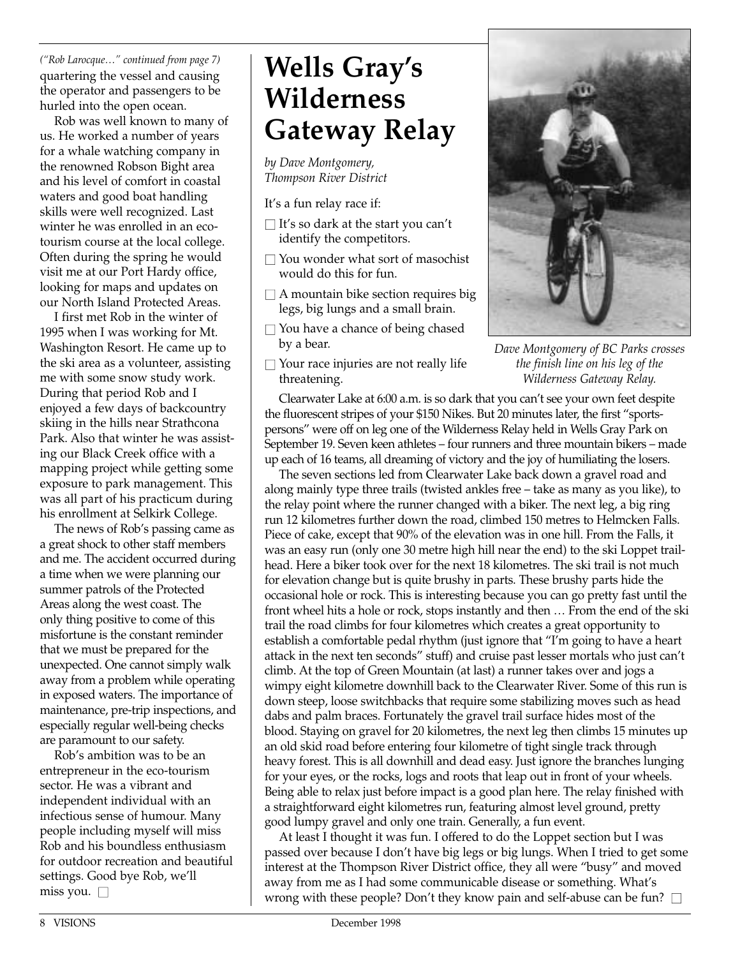*("Rob Larocque…" continued from page 7)* quartering the vessel and causing the operator and passengers to be hurled into the open ocean.

Rob was well known to many of us. He worked a number of years for a whale watching company in the renowned Robson Bight area and his level of comfort in coastal waters and good boat handling skills were well recognized. Last winter he was enrolled in an ecotourism course at the local college. Often during the spring he would visit me at our Port Hardy office, looking for maps and updates on our North Island Protected Areas.

I first met Rob in the winter of 1995 when I was working for Mt. Washington Resort. He came up to the ski area as a volunteer, assisting me with some snow study work. During that period Rob and I enjoyed a few days of backcountry skiing in the hills near Strathcona Park. Also that winter he was assisting our Black Creek office with a mapping project while getting some exposure to park management. This was all part of his practicum during his enrollment at Selkirk College.

The news of Rob's passing came as a great shock to other staff members and me. The accident occurred during a time when we were planning our summer patrols of the Protected Areas along the west coast. The only thing positive to come of this misfortune is the constant reminder that we must be prepared for the unexpected. One cannot simply walk away from a problem while operating in exposed waters. The importance of maintenance, pre-trip inspections, and especially regular well-being checks are paramount to our safety.

Rob's ambition was to be an entrepreneur in the eco-tourism sector. He was a vibrant and independent individual with an infectious sense of humour. Many people including myself will miss Rob and his boundless enthusiasm for outdoor recreation and beautiful settings. Good bye Rob, we'll miss you.  $\square$ 

### **Wells Gray's Wilderness Gateway Relay**

*by Dave Montgomery, Thompson River District*

It's a fun relay race if:

- $\Box$  It's so dark at the start you can't identify the competitors.
- $\Box$  You wonder what sort of masochist would do this for fun.
- $\square$  A mountain bike section requires big legs, big lungs and a small brain.
- $\Box$  You have a chance of being chased by a bear.
- $\Box$  Your race injuries are not really life threatening.



*Dave Montgomery of BC Parks crosses the finish line on his leg of the Wilderness Gateway Relay.*

Clearwater Lake at 6:00 a.m. is so dark that you can't see your own feet despite the fluorescent stripes of your \$150 Nikes. But 20 minutes later, the first "sportspersons" were off on leg one of the Wilderness Relay held in Wells Gray Park on September 19. Seven keen athletes – four runners and three mountain bikers – made up each of 16 teams, all dreaming of victory and the joy of humiliating the losers.

The seven sections led from Clearwater Lake back down a gravel road and along mainly type three trails (twisted ankles free – take as many as you like), to the relay point where the runner changed with a biker. The next leg, a big ring run 12 kilometres further down the road, climbed 150 metres to Helmcken Falls. Piece of cake, except that 90% of the elevation was in one hill. From the Falls, it was an easy run (only one 30 metre high hill near the end) to the ski Loppet trailhead. Here a biker took over for the next 18 kilometres. The ski trail is not much for elevation change but is quite brushy in parts. These brushy parts hide the occasional hole or rock. This is interesting because you can go pretty fast until the front wheel hits a hole or rock, stops instantly and then … From the end of the ski trail the road climbs for four kilometres which creates a great opportunity to establish a comfortable pedal rhythm (just ignore that "I'm going to have a heart attack in the next ten seconds" stuff) and cruise past lesser mortals who just can't climb. At the top of Green Mountain (at last) a runner takes over and jogs a wimpy eight kilometre downhill back to the Clearwater River. Some of this run is down steep, loose switchbacks that require some stabilizing moves such as head dabs and palm braces. Fortunately the gravel trail surface hides most of the blood. Staying on gravel for 20 kilometres, the next leg then climbs 15 minutes up an old skid road before entering four kilometre of tight single track through heavy forest. This is all downhill and dead easy. Just ignore the branches lunging for your eyes, or the rocks, logs and roots that leap out in front of your wheels. Being able to relax just before impact is a good plan here. The relay finished with a straightforward eight kilometres run, featuring almost level ground, pretty good lumpy gravel and only one train. Generally, a fun event.

At least I thought it was fun. I offered to do the Loppet section but I was passed over because I don't have big legs or big lungs. When I tried to get some interest at the Thompson River District office, they all were "busy" and moved away from me as I had some communicable disease or something. What's wrong with these people? Don't they know pain and self-abuse can be fun?  $\square$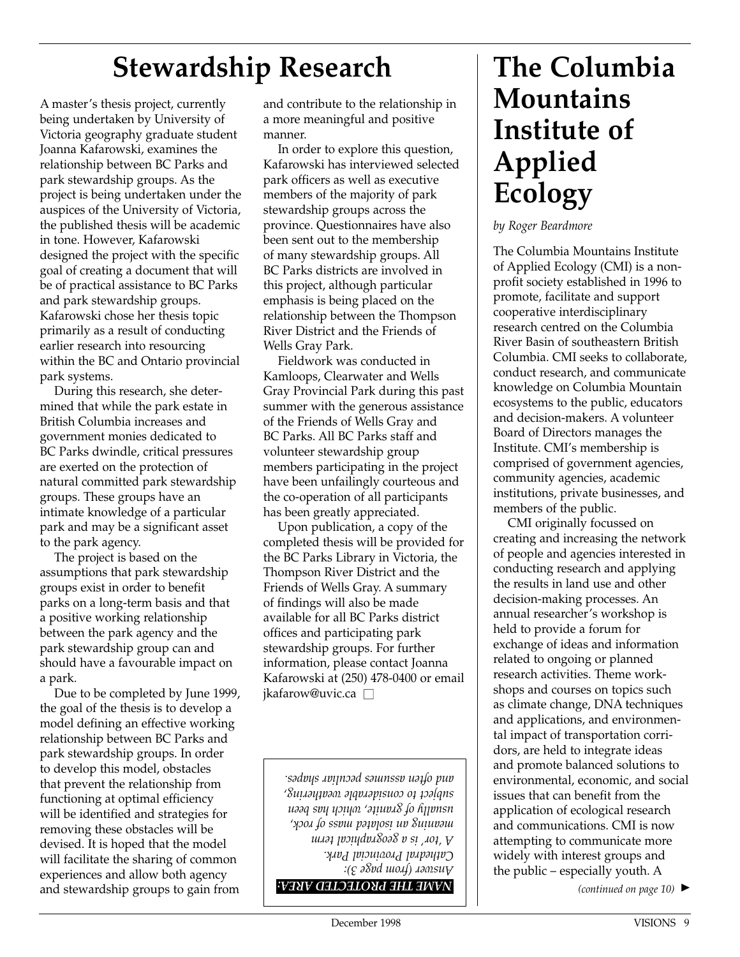### **Stewardship Research**

A master's thesis project, currently being undertaken by University of Victoria geography graduate student Joanna Kafarowski, examines the relationship between BC Parks and park stewardship groups. As the project is being undertaken under the auspices of the University of Victoria, the published thesis will be academic in tone. However, Kafarowski designed the project with the specific goal of creating a document that will be of practical assistance to BC Parks and park stewardship groups. Kafarowski chose her thesis topic primarily as a result of conducting earlier research into resourcing within the BC and Ontario provincial park systems.

During this research, she determined that while the park estate in British Columbia increases and government monies dedicated to BC Parks dwindle, critical pressures are exerted on the protection of natural committed park stewardship groups. These groups have an intimate knowledge of a particular park and may be a significant asset to the park agency.

The project is based on the assumptions that park stewardship groups exist in order to benefit parks on a long-term basis and that a positive working relationship between the park agency and the park stewardship group can and should have a favourable impact on a park.

Due to be completed by June 1999, the goal of the thesis is to develop a model defining an effective working relationship between BC Parks and park stewardship groups. In order to develop this model, obstacles that prevent the relationship from functioning at optimal efficiency will be identified and strategies for removing these obstacles will be devised. It is hoped that the model will facilitate the sharing of common experiences and allow both agency and stewardship groups to gain from

and contribute to the relationship in a more meaningful and positive manner.

In order to explore this question, Kafarowski has interviewed selected park officers as well as executive members of the majority of park stewardship groups across the province. Questionnaires have also been sent out to the membership of many stewardship groups. All BC Parks districts are involved in this project, although particular emphasis is being placed on the relationship between the Thompson River District and the Friends of Wells Gray Park.

Fieldwork was conducted in Kamloops, Clearwater and Wells Gray Provincial Park during this past summer with the generous assistance of the Friends of Wells Gray and BC Parks. All BC Parks staff and volunteer stewardship group members participating in the project have been unfailingly courteous and the co-operation of all participants has been greatly appreciated.

Upon publication, a copy of the completed thesis will be provided for the BC Parks Library in Victoria, the Thompson River District and the Friends of Wells Gray. A summary of findings will also be made available for all BC Parks district offices and participating park stewardship groups. For further information, please contact Joanna Kafarowski at (250) 478-0400 or email jkafarow@uvic.ca □

*NAME THE PROTECTED AREA: Answer (from page 3): Cathedral Provincial Park. A 'tor' is a geographical term meaning an isolated mass of rock, usually of granite, which has been subject to considerable weathering, and often assumes peculiar shapes.*

### **The Columbia Mountains Institute of Applied Ecology**

*by Roger Beardmore*

The Columbia Mountains Institute of Applied Ecology (CMI) is a nonprofit society established in 1996 to promote, facilitate and support cooperative interdisciplinary research centred on the Columbia River Basin of southeastern British Columbia. CMI seeks to collaborate, conduct research, and communicate knowledge on Columbia Mountain ecosystems to the public, educators and decision-makers. A volunteer Board of Directors manages the Institute. CMI's membership is comprised of government agencies, community agencies, academic institutions, private businesses, and members of the public.

CMI originally focussed on creating and increasing the network of people and agencies interested in conducting research and applying the results in land use and other decision-making processes. An annual researcher's workshop is held to provide a forum for exchange of ideas and information related to ongoing or planned research activities. Theme workshops and courses on topics such as climate change, DNA techniques and applications, and environmental impact of transportation corridors, are held to integrate ideas and promote balanced solutions to environmental, economic, and social issues that can benefit from the application of ecological research and communications. CMI is now attempting to communicate more widely with interest groups and the public – especially youth. A

 $(continued on page 10)$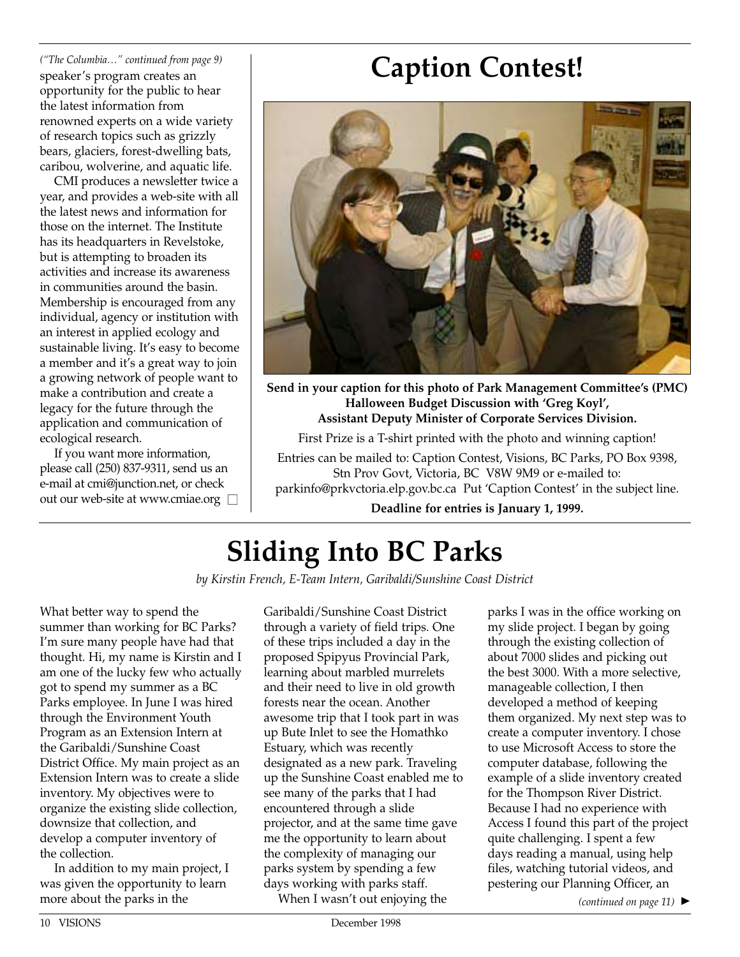*("The Columbia…" continued from page 9)* speaker's program creates an opportunity for the public to hear the latest information from renowned experts on a wide variety of research topics such as grizzly bears, glaciers, forest-dwelling bats, caribou, wolverine, and aquatic life.

CMI produces a newsletter twice a year, and provides a web-site with all the latest news and information for those on the internet. The Institute has its headquarters in Revelstoke, but is attempting to broaden its activities and increase its awareness in communities around the basin. Membership is encouraged from any individual, agency or institution with an interest in applied ecology and sustainable living. It's easy to become a member and it's a great way to join a growing network of people want to make a contribution and create a legacy for the future through the application and communication of ecological research.

If you want more information, please call (250) 837-9311, send us an e-mail at cmi@junction.net, or check out our web-site at www.cmiae.org  $\Box$ 

### **Caption Contest!**



**Send in your caption for this photo of Park Management Committee's (PMC) Halloween Budget Discussion with 'Greg Koyl', Assistant Deputy Minister of Corporate Services Division.**

First Prize is a T-shirt printed with the photo and winning caption!

Entries can be mailed to: Caption Contest, Visions, BC Parks, PO Box 9398, Stn Prov Govt, Victoria, BC V8W 9M9 or e-mailed to: parkinfo@prkvctoria.elp.gov.bc.ca Put 'Caption Contest' in the subject line.

**Deadline for entries is January 1, 1999.**

## **Sliding Into BC Parks**

*by Kirstin French, E-Team Intern, Garibaldi/Sunshine Coast District*

What better way to spend the summer than working for BC Parks? I'm sure many people have had that thought. Hi, my name is Kirstin and I am one of the lucky few who actually got to spend my summer as a BC Parks employee. In June I was hired through the Environment Youth Program as an Extension Intern at the Garibaldi/Sunshine Coast District Office. My main project as an Extension Intern was to create a slide inventory. My objectives were to organize the existing slide collection, downsize that collection, and develop a computer inventory of the collection.

In addition to my main project, I was given the opportunity to learn more about the parks in the

Garibaldi/Sunshine Coast District through a variety of field trips. One of these trips included a day in the proposed Spipyus Provincial Park, learning about marbled murrelets and their need to live in old growth forests near the ocean. Another awesome trip that I took part in was up Bute Inlet to see the Homathko Estuary, which was recently designated as a new park. Traveling up the Sunshine Coast enabled me to see many of the parks that I had encountered through a slide projector, and at the same time gave me the opportunity to learn about the complexity of managing our parks system by spending a few days working with parks staff. When I wasn't out enjoying the

parks I was in the office working on my slide project. I began by going through the existing collection of about 7000 slides and picking out the best 3000. With a more selective, manageable collection, I then developed a method of keeping them organized. My next step was to create a computer inventory. I chose to use Microsoft Access to store the computer database, following the example of a slide inventory created for the Thompson River District. Because I had no experience with Access I found this part of the project quite challenging. I spent a few days reading a manual, using help files, watching tutorial videos, and pestering our Planning Officer, an

*(continued on page 11)* ▲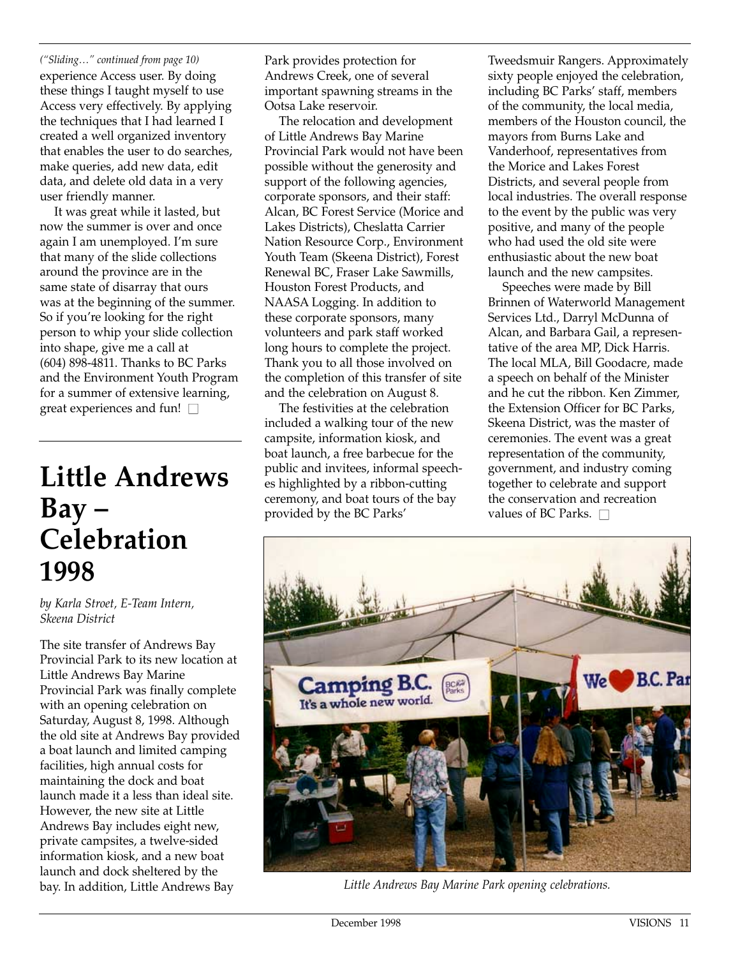*("Sliding…" continued from page 10)* experience Access user. By doing these things I taught myself to use Access very effectively. By applying the techniques that I had learned I created a well organized inventory that enables the user to do searches, make queries, add new data, edit data, and delete old data in a very user friendly manner.

It was great while it lasted, but now the summer is over and once again I am unemployed. I'm sure that many of the slide collections around the province are in the same state of disarray that ours was at the beginning of the summer. So if you're looking for the right person to whip your slide collection into shape, give me a call at (604) 898-4811. Thanks to BC Parks and the Environment Youth Program for a summer of extensive learning, great experiences and fun!  $\square$ 

### **Little Andrews Bay – Celebration 1998**

*by Karla Stroet, E-Team Intern, Skeena District*

The site transfer of Andrews Bay Provincial Park to its new location at Little Andrews Bay Marine Provincial Park was finally complete with an opening celebration on Saturday, August 8, 1998. Although the old site at Andrews Bay provided a boat launch and limited camping facilities, high annual costs for maintaining the dock and boat launch made it a less than ideal site. However, the new site at Little Andrews Bay includes eight new, private campsites, a twelve-sided information kiosk, and a new boat launch and dock sheltered by the bay. In addition, Little Andrews Bay

Park provides protection for Andrews Creek, one of several important spawning streams in the Ootsa Lake reservoir.

The relocation and development of Little Andrews Bay Marine Provincial Park would not have been possible without the generosity and support of the following agencies, corporate sponsors, and their staff: Alcan, BC Forest Service (Morice and Lakes Districts), Cheslatta Carrier Nation Resource Corp., Environment Youth Team (Skeena District), Forest Renewal BC, Fraser Lake Sawmills, Houston Forest Products, and NAASA Logging. In addition to these corporate sponsors, many volunteers and park staff worked long hours to complete the project. Thank you to all those involved on the completion of this transfer of site and the celebration on August 8.

The festivities at the celebration included a walking tour of the new campsite, information kiosk, and boat launch, a free barbecue for the public and invitees, informal speeches highlighted by a ribbon-cutting ceremony, and boat tours of the bay provided by the BC Parks'

Tweedsmuir Rangers. Approximately sixty people enjoyed the celebration, including BC Parks' staff, members of the community, the local media, members of the Houston council, the mayors from Burns Lake and Vanderhoof, representatives from the Morice and Lakes Forest Districts, and several people from local industries. The overall response to the event by the public was very positive, and many of the people who had used the old site were enthusiastic about the new boat launch and the new campsites.

Speeches were made by Bill Brinnen of Waterworld Management Services Ltd., Darryl McDunna of Alcan, and Barbara Gail, a representative of the area MP, Dick Harris. The local MLA, Bill Goodacre, made a speech on behalf of the Minister and he cut the ribbon. Ken Zimmer, the Extension Officer for BC Parks, Skeena District, was the master of ceremonies. The event was a great representation of the community, government, and industry coming together to celebrate and support the conservation and recreation values of BC Parks.  $\square$ 



*Little Andrews Bay Marine Park opening celebrations.*